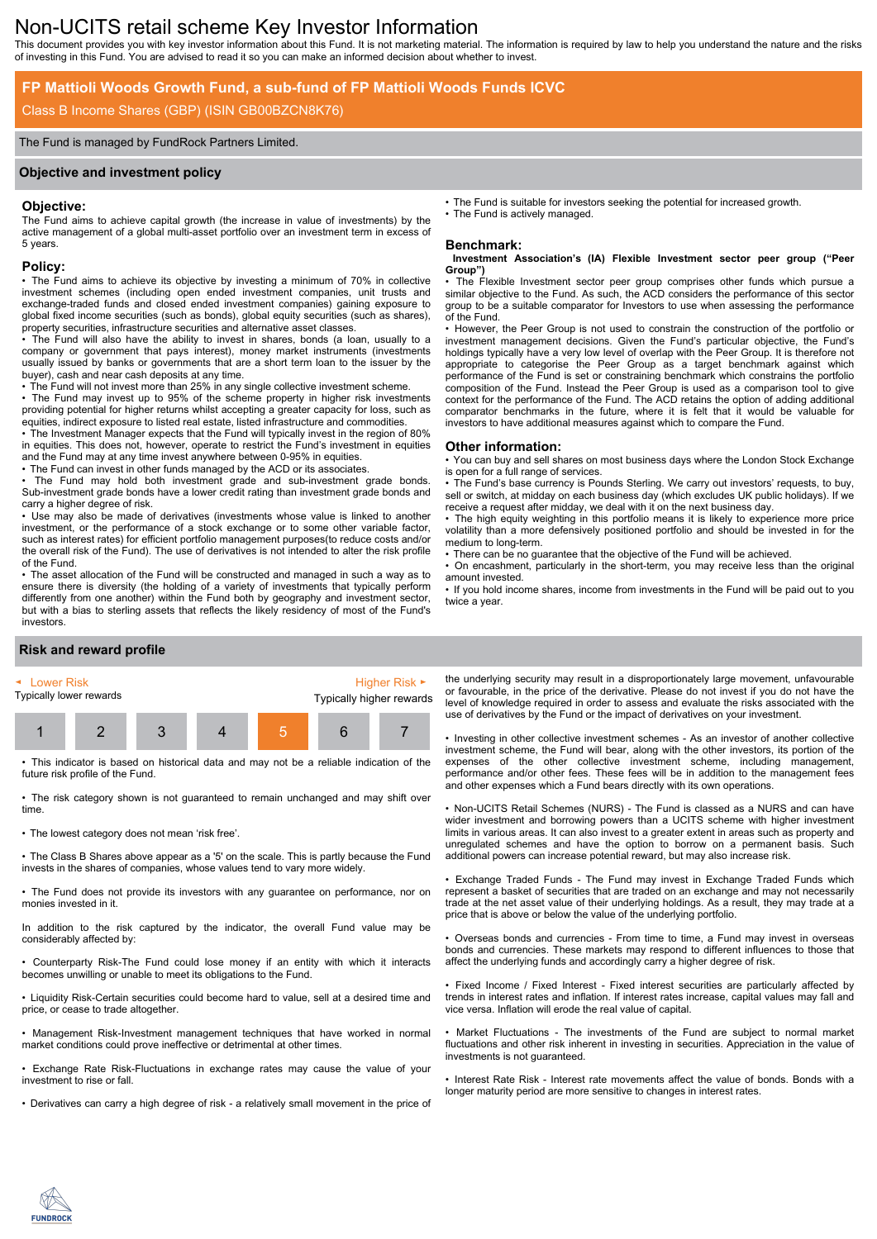# Non-UCITS retail scheme Key Investor Information

This document provides you with key investor information about this Fund. It is not marketing material. The information is required by law to help you understand the nature and the risks of investing in this Fund. You are advised to read it so you can make an informed decision about whether to invest.

## **FP Mattioli Woods Growth Fund, a sub-fund of FP Mattioli Woods Funds ICVC**

## Class B Income Shares (GBP) (ISIN GB00BZCN8K76)

#### The Fund is managed by FundRock Partners Limited.

#### **Objective and investment policy**

#### **Objective:**

The Fund aims to achieve capital growth (the increase in value of investments) by the active management of a global multi-asset portfolio over an investment term in excess of 5 years.

#### **Policy:**

• The Fund aims to achieve its objective by investing a minimum of 70% in collective investment schemes (including open ended investment companies, unit trusts and exchange-traded funds and closed ended investment companies) gaining exposure to global fixed income securities (such as bonds), global equity securities (such as shares), property securities, infrastructure securities and alternative asset classes.

• The Fund will also have the ability to invest in shares, bonds (a loan, usually to a company or government that pays interest), money market instruments (investments usually issued by banks or governments that are a short term loan to the issuer by the buyer), cash and near cash deposits at any time.

• The Fund will not invest more than 25% in any single collective investment scheme.

• The Fund may invest up to 95% of the scheme property in higher risk investments providing potential for higher returns whilst accepting a greater capacity for loss, such as equities, indirect exposure to listed real estate, listed infrastructure and commodities.

• The Investment Manager expects that the Fund will typically invest in the region of 80% in equities. This does not, however, operate to restrict the Fund's investment in equities and the Fund may at any time invest anywhere between 0-95% in equities.

• The Fund can invest in other funds managed by the ACD or its associates.

The Fund may hold both investment grade and sub-investment grade bonds. Sub-investment grade bonds have a lower credit rating than investment grade bonds and carry a higher degree of risk.

• Use may also be made of derivatives (investments whose value is linked to another investment, or the performance of a stock exchange or to some other variable factor, such as interest rates) for efficient portfolio management purposes(to reduce costs and/or the overall risk of the Fund). The use of derivatives is not intended to alter the risk profile of the Fund.

• The asset allocation of the Fund will be constructed and managed in such a way as to ensure there is diversity (the holding of a variety of investments that typically perform differently from one another) within the Fund both by geography and investment sector, but with a bias to sterling assets that reflects the likely residency of most of the Fund's investors.

• The Fund is suitable for investors seeking the potential for increased growth. The Fund is actively managed.

### **Benchmark:**

#### **Investment Association's (IA) Flexible Investment sector peer group ("Peer Group")**

The Flexible Investment sector peer group comprises other funds which pursue a similar objective to the Fund. As such, the ACD considers the performance of this sector group to be a suitable comparator for Investors to use when assessing the performance of the Fund.

• However, the Peer Group is not used to constrain the construction of the portfolio or investment management decisions. Given the Fund's particular objective, the Fund's holdings typically have a very low level of overlap with the Peer Group. It is therefore not appropriate to categorise the Peer Group as a target benchmark against which performance of the Fund is set or constraining benchmark which constrains the portfolio composition of the Fund. Instead the Peer Group is used as a comparison tool to give context for the performance of the Fund. The ACD retains the option of adding additional comparator benchmarks in the future, where it is felt that it would be valuable for investors to have additional measures against which to compare the Fund.

#### **Other information:**

• You can buy and sell shares on most business days where the London Stock Exchange is open for a full range of services.

• The Fund's base currency is Pounds Sterling. We carry out investors' requests, to buy, sell or switch, at midday on each business day (which excludes UK public holidays). If we receive a request after midday, we deal with it on the next business day.

• The high equity weighting in this portfolio means it is likely to experience more price volatility than a more defensively positioned portfolio and should be invested in for the medium to long-term.

There can be no guarantee that the objective of the Fund will be achieved.

• On encashment, particularly in the short-term, you may receive less than the original amount invested.

• If you hold income shares, income from investments in the Fund will be paid out to you twice a year.

## **Risk and reward profile**



• This indicator is based on historical data and may not be a reliable indication of the future risk profile of the Fund.

• The risk category shown is not guaranteed to remain unchanged and may shift over time.

• The lowest category does not mean 'risk free'.

• The Class B Shares above appear as a '5' on the scale. This is partly because the Fund invests in the shares of companies, whose values tend to vary more widely.

• The Fund does not provide its investors with any guarantee on performance, nor on monies invested in it.

In addition to the risk captured by the indicator, the overall Fund value may be considerably affected by:

• Counterparty Risk-The Fund could lose money if an entity with which it interacts becomes unwilling or unable to meet its obligations to the Fund.

• Liquidity Risk-Certain securities could become hard to value, sell at a desired time and price, or cease to trade altogether.

• Management Risk-Investment management techniques that have worked in normal market conditions could prove ineffective or detrimental at other times.

• Exchange Rate Risk-Fluctuations in exchange rates may cause the value of your investment to rise or fall.

• Derivatives can carry a high degree of risk - a relatively small movement in the price of

the underlying security may result in a disproportionately large movement, unfavourable or favourable, in the price of the derivative. Please do not invest if you do not have the level of knowledge required in order to assess and evaluate the risks associated with the use of derivatives by the Fund or the impact of derivatives on your investment.

• Investing in other collective investment schemes - As an investor of another collective investment scheme, the Fund will bear, along with the other investors, its portion of the expenses of the other collective investment scheme, including management, performance and/or other fees. These fees will be in addition to the management fees and other expenses which a Fund bears directly with its own operations.

• Non-UCITS Retail Schemes (NURS) - The Fund is classed as a NURS and can have wider investment and borrowing powers than a UCITS scheme with higher investment limits in various areas. It can also invest to a greater extent in areas such as property and unregulated schemes and have the option to borrow on a permanent basis. Such additional powers can increase potential reward, but may also increase risk.

• Exchange Traded Funds - The Fund may invest in Exchange Traded Funds which represent a basket of securities that are traded on an exchange and may not necessarily trade at the net asset value of their underlying holdings. As a result, they may trade at a price that is above or below the value of the underlying portfolio.

• Overseas bonds and currencies - From time to time, a Fund may invest in overseas bonds and currencies. These markets may respond to different influences to those that affect the underlying funds and accordingly carry a higher degree of risk.

• Fixed Income / Fixed Interest - Fixed interest securities are particularly affected by trends in interest rates and inflation. If interest rates increase, capital values may fall and vice versa. Inflation will erode the real value of capital.

• Market Fluctuations - The investments of the Fund are subject to normal market fluctuations and other risk inherent in investing in securities. Appreciation in the value of investments is not guaranteed.

• Interest Rate Risk - Interest rate movements affect the value of bonds. Bonds with a longer maturity period are more sensitive to changes in interest rates.